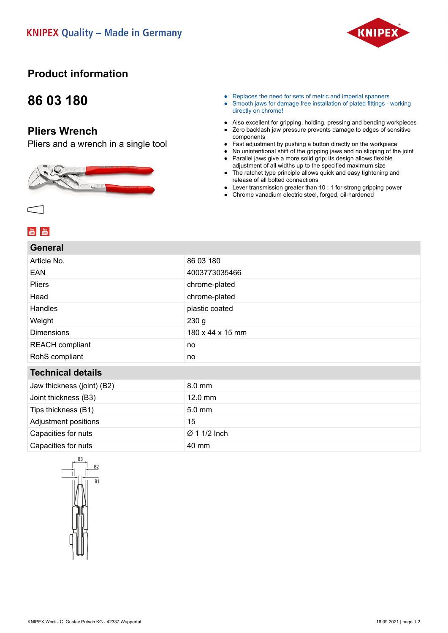

## **Product information**

## **86 03 180**

### **Pliers Wrench**

Pliers and a wrench in a single tool



- Replaces the need for sets of metric and imperial spanners
- Smooth jaws for damage free installation of plated fittings working directly on chrome!
- Also excellent for gripping, holding, pressing and bending workpieces
- Zero backlash jaw pressure prevents damage to edges of sensitive components
- Fast adjustment by pushing a button directly on the workpiece
- No unintentional shift of the gripping jaws and no slipping of the joint
- Parallel jaws give a more solid grip; its design allows flexible adjustment of all widths up to the specified maximum size
- The ratchet type principle allows quick and easy tightening and release of all bolted connections
- Lever transmission greater than 10 : 1 for strong gripping power
- Chrome vanadium electric steel, forged, oil-hardened

| 86 03 180                |  |
|--------------------------|--|
| 4003773035466            |  |
| chrome-plated            |  |
| chrome-plated            |  |
| plastic coated           |  |
| 230 <sub>g</sub>         |  |
| 180 x 44 x 15 mm         |  |
| no                       |  |
| no                       |  |
| <b>Technical details</b> |  |
| 8.0 mm                   |  |
| $12.0$ mm                |  |
| 5.0 mm                   |  |
| 15                       |  |
| Ø 1 1/2 Inch             |  |
|                          |  |
|                          |  |